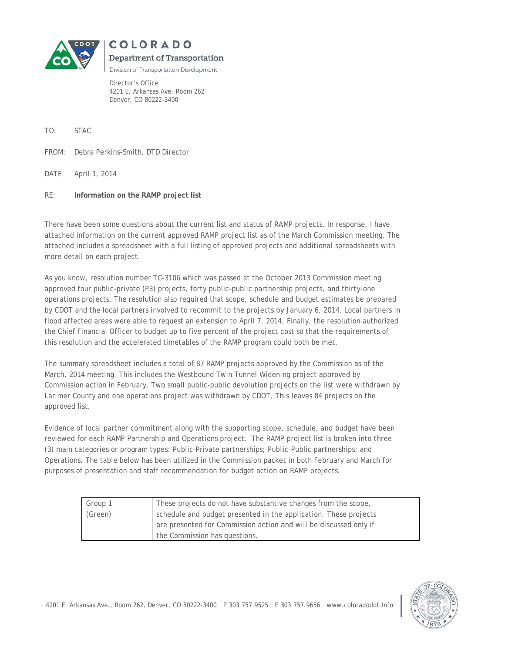

Department of Transportation

COLORADO

Division of Transportation Development

Director's Office 4201 E. Arkansas Ave. Room 262 Denver, CO 80222-3400

TO: **STAC** 

FROM: Debra Perkins-Smith, DTD Director

DATE: April 1, 2014

 $RE:$ Information on the RAMP project list

There have been some questions about the current list and status of RAMP projects. In response, I have attached information on the current approved RAMP project list as of the March Commission meeting. The attached includes a spreadsheet with a full listing of approved projects and additional spreadsheets with more detail on each project.

As you know, resolution number TC-3106 which was passed at the October 2013 Commission meeting approved four public-private (P3) projects, forty public-public partnership projects, and thirty-one operations projects. The resolution also required that scope, schedule and budget estimates be prepared by CDOT and the local partners involved to recommit to the projects by January 6, 2014. Local partners in flood affected areas were able to request an extension to April 7, 2014. Finally, the resolution authorized the Chief Financial Officer to budget up to five percent of the project cost so that the requirements of this resolution and the accelerated timetables of the RAMP program could both be met.

The summary spreadsheet includes a total of 87 RAMP projects approved by the Commission as of the March, 2014 meeting. This includes the Westbound Twin Tunnel Widening project approved by Commission action in February. Two small public-public devolution projects on the list were withdrawn by Larimer County and one operations project was withdrawn by CDOT. This leaves 84 projects on the approved list.

Evidence of local partner commitment along with the supporting scope, schedule, and budget have been reviewed for each RAMP Partnership and Operations project. The RAMP project list is broken into three (3) main categories or program types: Public-Private partnerships; Public-Public partnerships; and Operations. The table below has been utilized in the Commission packet in both February and March for purposes of presentation and staff recommendation for budget action on RAMP projects.

| Group 1 | These projects do not have substantive changes from the scope,    |
|---------|-------------------------------------------------------------------|
| (Green) | schedule and budget presented in the application. These projects  |
|         | are presented for Commission action and will be discussed only if |
|         | the Commission has questions.                                     |